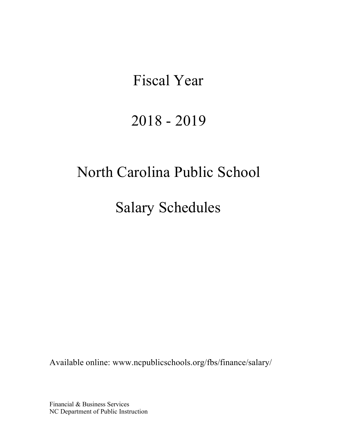# Fiscal Year

# 2018 - 2019

# North Carolina Public School

Salary Schedules

Available online: [www.ncpublicschools.org/fbs/finance/salary/](http://www.ncpublicschools.org/fbs/finance/salary/)

Financial & Business Services NC Department of Public Instruction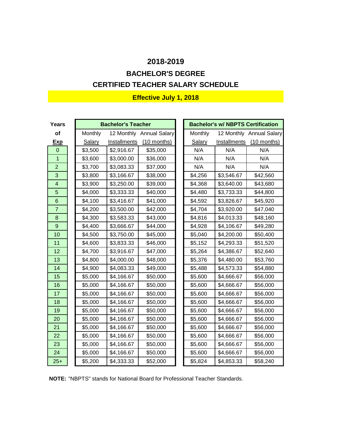# **CERTIFIED TEACHER SALARY SCHEDULE BACHELOR'S DEGREE**

| Years                    |         | <b>Bachelor's Teacher</b> |                          |         | <b>Bachelor's w/ NBPTS Certification</b> |                          |
|--------------------------|---------|---------------------------|--------------------------|---------|------------------------------------------|--------------------------|
| of                       | Monthly |                           | 12 Monthly Annual Salary | Monthly |                                          | 12 Monthly Annual Salary |
| <b>Exp</b>               | Salary  | Installments              | $(10$ months)            | Salary  | Installments                             | (10 months)              |
| $\Omega$                 | \$3,500 | \$2,916.67                | \$35,000                 | N/A     | N/A                                      | N/A                      |
| $\overline{1}$           | \$3,600 | \$3,000.00                | \$36,000                 | N/A     | N/A                                      | N/A                      |
| $\overline{2}$           | \$3,700 | \$3,083.33                | \$37,000                 | N/A     | N/A                                      | N/A                      |
| 3                        | \$3,800 | \$3,166.67                | \$38,000                 | \$4,256 | \$3,546.67                               | \$42,560                 |
| $\overline{\mathcal{L}}$ | \$3,900 | \$3,250.00                | \$39,000                 | \$4,368 | \$3,640.00                               | \$43,680                 |
| 5                        | \$4,000 | \$3,333.33                | \$40,000                 | \$4,480 | \$3,733.33                               | \$44,800                 |
| 6                        | \$4,100 | \$3,416.67                | \$41,000                 | \$4,592 | \$3,826.67                               | \$45,920                 |
| $\overline{7}$           | \$4,200 | \$3,500.00                | \$42,000                 | \$4,704 | \$3,920.00                               | \$47,040                 |
| 8                        | \$4,300 | \$3,583.33                | \$43,000                 | \$4,816 | \$4,013.33                               | \$48,160                 |
| 9                        | \$4,400 | \$3,666.67                | \$44,000                 | \$4,928 | \$4,106.67                               | \$49,280                 |
| 10                       | \$4,500 | \$3,750.00                | \$45,000                 | \$5,040 | \$4,200.00                               | \$50,400                 |
| 11                       | \$4,600 | \$3,833.33                | \$46,000                 | \$5,152 | \$4,293.33                               | \$51,520                 |
| 12                       | \$4,700 | \$3,916.67                | \$47,000                 | \$5,264 | \$4,386.67                               | \$52,640                 |
| 13                       | \$4,800 | \$4,000.00                | \$48,000                 | \$5,376 | \$4,480.00                               | \$53,760                 |
| 14                       | \$4,900 | \$4,083.33                | \$49,000                 | \$5,488 | \$4,573.33                               | \$54,880                 |
| 15                       | \$5,000 | \$4,166.67                | \$50,000                 | \$5,600 | \$4,666.67                               | \$56,000                 |
| 16                       | \$5,000 | \$4,166.67                | \$50,000                 | \$5,600 | \$4,666.67                               | \$56,000                 |
| 17                       | \$5,000 | \$4,166.67                | \$50,000                 | \$5,600 | \$4,666.67                               | \$56,000                 |
| 18                       | \$5,000 | \$4,166.67                | \$50,000                 | \$5,600 | \$4,666.67                               | \$56,000                 |
| 19                       | \$5,000 | \$4,166.67                | \$50,000                 | \$5,600 | \$4,666.67                               | \$56,000                 |
| 20                       | \$5,000 | \$4,166.67                | \$50,000                 | \$5,600 | \$4,666.67                               | \$56,000                 |
| 21                       | \$5,000 | \$4,166.67                | \$50,000                 | \$5,600 | \$4,666.67                               | \$56,000                 |
| 22                       | \$5,000 | \$4,166.67                | \$50,000                 | \$5,600 | \$4,666.67                               | \$56,000                 |
| 23                       | \$5,000 | \$4,166.67                | \$50,000                 | \$5,600 | \$4,666.67                               | \$56,000                 |
| 24                       | \$5,000 | \$4,166.67                | \$50,000                 | \$5,600 | \$4,666.67                               | \$56,000                 |
| $25+$                    | \$5,200 | \$4,333.33                | \$52,000                 | \$5,824 | \$4,853.33                               | \$58,240                 |

**NOTE:** "NBPTS" stands for National Board for Professional Teacher Standards.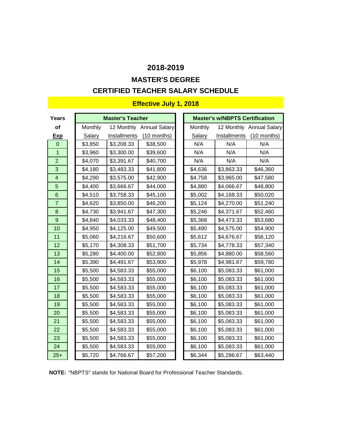## **MASTER'S DEGREE**

### **CERTIFIED TEACHER SALARY SCHEDULE**

| Years                   |               | <b>Master's Teacher</b> |                          |                | <b>Master's w/NBPTS Certification</b> |                          |
|-------------------------|---------------|-------------------------|--------------------------|----------------|---------------------------------------|--------------------------|
| of                      | Monthly       |                         | 12 Monthly Annual Salary | <b>Monthly</b> |                                       | 12 Monthly Annual Salary |
| <b>Exp</b>              | <b>Salary</b> | Installments            | (10 months)              | Salary         | Installments                          | (10 months)              |
| $\overline{0}$          | \$3,850       | \$3,208.33              | \$38,500                 | N/A            | N/A                                   | N/A                      |
| $\mathbf{1}$            | \$3,960       | \$3,300.00              | \$39,600                 | N/A            | N/A                                   | N/A                      |
| $\overline{2}$          | \$4,070       | \$3,391.67              | \$40,700                 | N/A            | N/A                                   | N/A                      |
| 3                       | \$4,180       | \$3,483.33              | \$41,800                 | \$4,636        | \$3,863.33                            | \$46,360                 |
| $\overline{\mathbf{4}}$ | \$4,290       | \$3,575.00              | \$42,900                 | \$4,758        | \$3,965.00                            | \$47,580                 |
| 5                       | \$4,400       | \$3,666.67              | \$44,000                 | \$4,880        | \$4,066.67                            | \$48,800                 |
| $6\phantom{1}$          | \$4,510       | \$3,758.33              | \$45,100                 | \$5,002        | \$4,168.33                            | \$50,020                 |
| $\overline{7}$          | \$4,620       | \$3,850.00              | \$46,200                 | \$5,124        | \$4,270.00                            | \$51,240                 |
| 8                       | \$4,730       | \$3,941.67              | \$47,300                 | \$5,246        | \$4,371.67                            | \$52,460                 |
| 9                       | \$4,840       | \$4,033.33              | \$48,400                 | \$5,368        | \$4,473.33                            | \$53,680                 |
| 10                      | \$4,950       | \$4,125.00              | \$49,500                 | \$5,490        | \$4,575.00                            | \$54,900                 |
| 11                      | \$5,060       | \$4,216.67              | \$50,600                 | \$5,612        | \$4,676.67                            | \$56,120                 |
| 12                      | \$5,170       | \$4,308.33              | \$51,700                 | \$5,734        | \$4,778.33                            | \$57,340                 |
| 13                      | \$5,280       | \$4,400.00              | \$52,800                 | \$5,856        | \$4,880.00                            | \$58,560                 |
| 14                      | \$5,390       | \$4,491.67              | \$53,900                 | \$5,978        | \$4,981.67                            | \$59,780                 |
| 15                      | \$5,500       | \$4,583.33              | \$55,000                 | \$6,100        | \$5,083.33                            | \$61,000                 |
| 16                      | \$5,500       | \$4,583.33              | \$55,000                 | \$6,100        | \$5,083.33                            | \$61,000                 |
| 17                      | \$5,500       | \$4,583.33              | \$55,000                 | \$6,100        | \$5,083.33                            | \$61,000                 |
| 18                      | \$5,500       | \$4,583.33              | \$55,000                 | \$6,100        | \$5,083.33                            | \$61,000                 |
| 19                      | \$5,500       | \$4,583.33              | \$55,000                 | \$6,100        | \$5,083.33                            | \$61,000                 |
| 20                      | \$5,500       | \$4,583.33              | \$55,000                 | \$6,100        | \$5,083.33                            | \$61,000                 |
| 21                      | \$5,500       | \$4,583.33              | \$55,000                 | \$6,100        | \$5,083.33                            | \$61,000                 |
| 22                      | \$5,500       | \$4,583.33              | \$55,000                 | \$6,100        | \$5,083.33                            | \$61,000                 |
| 23                      | \$5,500       | \$4,583.33              | \$55,000                 | \$6,100        | \$5,083.33                            | \$61,000                 |
| 24                      | \$5,500       | \$4,583.33              | \$55,000                 | \$6,100        | \$5,083.33                            | \$61,000                 |
| $25+$                   | \$5,720       | \$4,766.67              | \$57,200                 | \$6,344        | \$5,286.67                            | \$63,440                 |

**NOTE:** "NBPTS" stands for National Board for Professional Teacher Standards.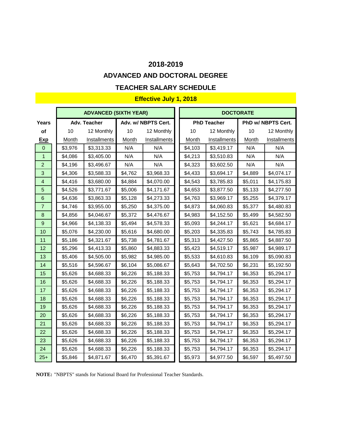#### **ADVANCED AND DOCTORAL DEGREE**

#### **TEACHER SALARY SCHEDULE**

## **Effective July 1, 2018**

|                         |              | <b>ADVANCED (SIXTH YEAR)</b> |              |                     |              | <b>DOCTORATE</b>    |              |                     |
|-------------------------|--------------|------------------------------|--------------|---------------------|--------------|---------------------|--------------|---------------------|
| Years                   |              | Adv. Teacher                 |              | Adv. w/ NBPTS Cert. |              | <b>PhD Teacher</b>  |              | PhD w/ NBPTS Cert.  |
| of                      | 10           | 12 Monthly                   | 10           | 12 Monthly          | 10           | 12 Monthly          | 10           | 12 Monthly          |
| <b>Exp</b>              | <b>Month</b> | Installments                 | <b>Month</b> | Installments        | <b>Month</b> | <b>Installments</b> | <b>Month</b> | <b>Installments</b> |
| $\mathbf 0$             | \$3,976      | \$3,313.33                   | N/A          | N/A                 | \$4,103      | \$3,419.17          | N/A          | N/A                 |
| $\mathbf{1}$            | \$4,086      | \$3,405.00                   | N/A          | N/A                 | \$4,213      | \$3,510.83          | N/A          | N/A                 |
| $\overline{2}$          | \$4,196      | \$3,496.67                   | N/A          | N/A                 | \$4,323      | \$3,602.50          | N/A          | N/A                 |
| 3                       | \$4,306      | \$3,588.33                   | \$4,762      | \$3,968.33          | \$4,433      | \$3,694.17          | \$4,889      | \$4,074.17          |
| $\overline{\mathbf{4}}$ | \$4,416      | \$3,680.00                   | \$4,884      | \$4,070.00          | \$4,543      | \$3,785.83          | \$5,011      | \$4,175.83          |
| 5                       | \$4,526      | \$3,771.67                   | \$5,006      | \$4,171.67          | \$4,653      | \$3,877.50          | \$5,133      | \$4,277.50          |
| $\,$ 6 $\,$             | \$4,636      | \$3,863.33                   | \$5,128      | \$4,273.33          | \$4,763      | \$3,969.17          | \$5,255      | \$4,379.17          |
| $\overline{7}$          | \$4,746      | \$3,955.00                   | \$5,250      | \$4,375.00          | \$4,873      | \$4,060.83          | \$5,377      | \$4,480.83          |
| $\boldsymbol{8}$        | \$4,856      | \$4,046.67                   | \$5,372      | \$4,476.67          | \$4,983      | \$4,152.50          | \$5,499      | \$4,582.50          |
| $\boldsymbol{9}$        | \$4,966      | \$4,138.33                   | \$5,494      | \$4,578.33          | \$5,093      | \$4,244.17          | \$5,621      | \$4,684.17          |
| 10                      | \$5,076      | \$4,230.00                   | \$5,616      | \$4,680.00          | \$5,203      | \$4,335.83          | \$5,743      | \$4,785.83          |
| 11                      | \$5,186      | \$4,321.67                   | \$5,738      | \$4,781.67          | \$5,313      | \$4,427.50          | \$5,865      | \$4,887.50          |
| 12                      | \$5,296      | \$4,413.33                   | \$5,860      | \$4,883.33          | \$5,423      | \$4,519.17          | \$5,987      | \$4,989.17          |
| 13                      | \$5,406      | \$4,505.00                   | \$5,982      | \$4,985.00          | \$5,533      | \$4,610.83          | \$6,109      | \$5,090.83          |
| 14                      | \$5,516      | \$4,596.67                   | \$6,104      | \$5,086.67          | \$5,643      | \$4,702.50          | \$6,231      | \$5,192.50          |
| 15                      | \$5,626      | \$4,688.33                   | \$6,226      | \$5,188.33          | \$5,753      | \$4,794.17          | \$6,353      | \$5,294.17          |
| 16                      | \$5,626      | \$4,688.33                   | \$6,226      | \$5,188.33          | \$5,753      | \$4,794.17          | \$6,353      | \$5,294.17          |
| 17                      | \$5,626      | \$4,688.33                   | \$6,226      | \$5,188.33          | \$5,753      | \$4,794.17          | \$6,353      | \$5,294.17          |
| 18                      | \$5,626      | \$4,688.33                   | \$6,226      | \$5,188.33          | \$5,753      | \$4,794.17          | \$6,353      | \$5,294.17          |
| 19                      | \$5,626      | \$4,688.33                   | \$6,226      | \$5,188.33          | \$5,753      | \$4,794.17          | \$6,353      | \$5,294.17          |
| 20                      | \$5,626      | \$4,688.33                   | \$6,226      | \$5,188.33          | \$5,753      | \$4,794.17          | \$6,353      | \$5,294.17          |
| 21                      | \$5,626      | \$4,688.33                   | \$6,226      | \$5,188.33          | \$5,753      | \$4,794.17          | \$6,353      | \$5,294.17          |
| 22                      | \$5,626      | \$4,688.33                   | \$6,226      | \$5,188.33          | \$5,753      | \$4,794.17          | \$6,353      | \$5,294.17          |
| 23                      | \$5,626      | \$4,688.33                   | \$6,226      | \$5,188.33          | \$5,753      | \$4,794.17          | \$6,353      | \$5,294.17          |
| 24                      | \$5,626      | \$4,688.33                   | \$6,226      | \$5,188.33          | \$5,753      | \$4,794.17          | \$6,353      | \$5,294.17          |
| $25+$                   | \$5,846      | \$4,871.67                   | \$6,470      | \$5,391.67          | \$5,973      | \$4,977.50          | \$6,597      | \$5,497.50          |

**NOTE:** "NBPTS" stands for National Board for Professional Teacher Standards.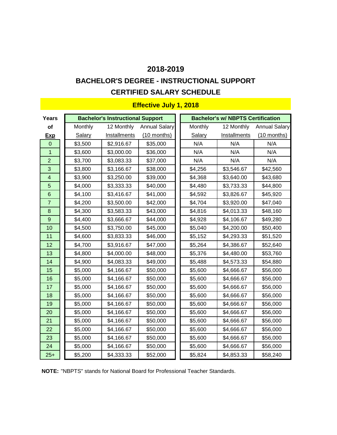# **CERTIFIED SALARY SCHEDULE BACHELOR'S DEGREE - INSTRUCTIONAL SUPPORT**

| Years                   |         | <b>Bachelor's Instructional Support</b> |                      |         | <b>Bachelor's w/ NBPTS Certification</b> |                      |
|-------------------------|---------|-----------------------------------------|----------------------|---------|------------------------------------------|----------------------|
| <b>of</b>               | Monthly | 12 Monthly                              | <b>Annual Salary</b> | Monthly | 12 Monthly                               | <b>Annual Salary</b> |
|                         |         |                                         |                      |         | Installments                             |                      |
| <b>Exp</b>              | Salary  | <b>Installments</b>                     | $(10$ months)        | Salary  |                                          | $(10$ months)        |
| $\mathbf 0$             | \$3,500 | \$2,916.67                              | \$35,000             | N/A     | N/A                                      | N/A                  |
| $\overline{1}$          | \$3,600 | \$3,000.00                              | \$36,000             | N/A     | N/A                                      | N/A                  |
| $\overline{2}$          | \$3,700 | \$3,083.33                              | \$37,000             | N/A     | N/A                                      | N/A                  |
| 3                       | \$3,800 | \$3,166.67                              | \$38,000             | \$4,256 | \$3,546.67                               | \$42,560             |
| $\overline{\mathbf{4}}$ | \$3,900 | \$3,250.00                              | \$39,000             | \$4,368 | \$3,640.00                               | \$43,680             |
| 5                       | \$4,000 | \$3,333.33                              | \$40,000             | \$4,480 | \$3,733.33                               | \$44,800             |
| $6\phantom{1}6$         | \$4,100 | \$3,416.67                              | \$41,000             | \$4,592 | \$3,826.67                               | \$45,920             |
| $\overline{7}$          | \$4,200 | \$3,500.00                              | \$42,000             | \$4,704 | \$3,920.00                               | \$47,040             |
| 8                       | \$4,300 | \$3,583.33                              | \$43,000             | \$4,816 | \$4,013.33                               | \$48,160             |
| 9                       | \$4,400 | \$3,666.67                              | \$44,000             | \$4,928 | \$4,106.67                               | \$49,280             |
| 10                      | \$4,500 | \$3,750.00                              | \$45,000             | \$5,040 | \$4,200.00                               | \$50,400             |
| 11                      | \$4,600 | \$3,833.33                              | \$46,000             | \$5,152 | \$4,293.33                               | \$51,520             |
| 12                      | \$4,700 | \$3,916.67                              | \$47,000             | \$5,264 | \$4,386.67                               | \$52,640             |
| 13                      | \$4,800 | \$4,000.00                              | \$48,000             | \$5,376 | \$4,480.00                               | \$53,760             |
| 14                      | \$4,900 | \$4,083.33                              | \$49,000             | \$5,488 | \$4,573.33                               | \$54,880             |
| 15                      | \$5,000 | \$4,166.67                              | \$50,000             | \$5,600 | \$4,666.67                               | \$56,000             |
| 16                      | \$5,000 | \$4,166.67                              | \$50,000             | \$5,600 | \$4,666.67                               | \$56,000             |
| 17                      | \$5,000 | \$4,166.67                              | \$50,000             | \$5,600 | \$4,666.67                               | \$56,000             |
| 18                      | \$5,000 | \$4,166.67                              | \$50,000             | \$5,600 | \$4,666.67                               | \$56,000             |
| 19                      | \$5,000 | \$4,166.67                              | \$50,000             | \$5,600 | \$4,666.67                               | \$56,000             |
| 20                      | \$5,000 | \$4,166.67                              | \$50,000             | \$5,600 | \$4,666.67                               | \$56,000             |
| 21                      | \$5,000 | \$4,166.67                              | \$50,000             | \$5,600 | \$4,666.67                               | \$56,000             |
| 22                      | \$5,000 | \$4,166.67                              | \$50,000             | \$5,600 | \$4,666.67                               | \$56,000             |
| 23                      | \$5,000 | \$4,166.67                              | \$50,000             | \$5,600 | \$4,666.67                               | \$56,000             |
| 24                      | \$5,000 | \$4,166.67                              | \$50,000             | \$5,600 | \$4,666.67                               | \$56,000             |
| $25+$                   | \$5,200 | \$4,333.33                              | \$52,000             | \$5,824 | \$4,853.33                               | \$58,240             |

**NOTE:** "NBPTS" stands for National Board for Professional Teacher Standards.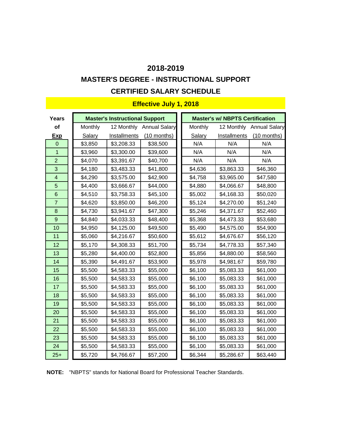# **MASTER'S DEGREE - INSTRUCTIONAL SUPPORT**

## **CERTIFIED SALARY SCHEDULE**

| <b>Years</b>            |         | <b>Master's Instructional Support</b> |                          |         | <b>Master's w/ NBPTS Certification</b> |                          |
|-------------------------|---------|---------------------------------------|--------------------------|---------|----------------------------------------|--------------------------|
| of                      | Monthly |                                       | 12 Monthly Annual Salary | Monthly |                                        | 12 Monthly Annual Salary |
| <b>Exp</b>              | Salary  | <b>Installments</b>                   | (10 months)              | Salary  | Installments                           | $(10$ months)            |
| $\mathbf 0$             | \$3,850 | \$3,208.33                            | \$38,500                 | N/A     | N/A                                    | N/A                      |
| $\overline{1}$          | \$3,960 | \$3,300.00                            | \$39,600                 | N/A     | N/A                                    | N/A                      |
| $\overline{c}$          | \$4,070 | \$3,391.67                            | \$40,700                 | N/A     | N/A                                    | N/A                      |
| 3                       | \$4,180 | \$3,483.33                            | \$41,800                 | \$4,636 | \$3,863.33                             | \$46,360                 |
| $\overline{\mathbf{4}}$ | \$4,290 | \$3,575.00                            | \$42,900                 | \$4,758 | \$3,965.00                             | \$47,580                 |
| 5                       | \$4,400 | \$3,666.67                            | \$44,000                 | \$4,880 | \$4,066.67                             | \$48,800                 |
| $\,$ 6 $\,$             | \$4,510 | \$3,758.33                            | \$45,100                 | \$5,002 | \$4,168.33                             | \$50,020                 |
| $\overline{7}$          | \$4,620 | \$3,850.00                            | \$46,200                 | \$5,124 | \$4,270.00                             | \$51,240                 |
| $\bf 8$                 | \$4,730 | \$3,941.67                            | \$47,300                 | \$5,246 | \$4,371.67                             | \$52,460                 |
| $\overline{9}$          | \$4,840 | \$4,033.33                            | \$48,400                 | \$5,368 | \$4,473.33                             | \$53,680                 |
| 10                      | \$4,950 | \$4,125.00                            | \$49,500                 | \$5,490 | \$4,575.00                             | \$54,900                 |
| 11                      | \$5,060 | \$4,216.67                            | \$50,600                 | \$5,612 | \$4,676.67                             | \$56,120                 |
| 12                      | \$5,170 | \$4,308.33                            | \$51,700                 | \$5,734 | \$4,778.33                             | \$57,340                 |
| 13                      | \$5,280 | \$4,400.00                            | \$52,800                 | \$5,856 | \$4,880.00                             | \$58,560                 |
| 14                      | \$5,390 | \$4,491.67                            | \$53,900                 | \$5,978 | \$4,981.67                             | \$59,780                 |
| 15                      | \$5,500 | \$4,583.33                            | \$55,000                 | \$6,100 | \$5,083.33                             | \$61,000                 |
| 16                      | \$5,500 | \$4,583.33                            | \$55,000                 | \$6,100 | \$5,083.33                             | \$61,000                 |
| 17                      | \$5,500 | \$4,583.33                            | \$55,000                 | \$6,100 | \$5,083.33                             | \$61,000                 |
| 18                      | \$5,500 | \$4,583.33                            | \$55,000                 | \$6,100 | \$5,083.33                             | \$61,000                 |
| 19                      | \$5,500 | \$4,583.33                            | \$55,000                 | \$6,100 | \$5,083.33                             | \$61,000                 |
| 20                      | \$5,500 | \$4,583.33                            | \$55,000                 | \$6,100 | \$5,083.33                             | \$61,000                 |
| 21                      | \$5,500 | \$4,583.33                            | \$55,000                 | \$6,100 | \$5,083.33                             | \$61,000                 |
| 22                      | \$5,500 | \$4,583.33                            | \$55,000                 | \$6,100 | \$5,083.33                             | \$61,000                 |
| 23                      | \$5,500 | \$4,583.33                            | \$55,000                 | \$6,100 | \$5,083.33                             | \$61,000                 |
| 24                      | \$5,500 | \$4,583.33                            | \$55,000                 | \$6,100 | \$5,083.33                             | \$61,000                 |
| $25+$                   | \$5,720 | \$4,766.67                            | \$57,200                 | \$6,344 | \$5,286.67                             | \$63,440                 |

**NOTE:** "NBPTS" stands for National Board for Professional Teacher Standards.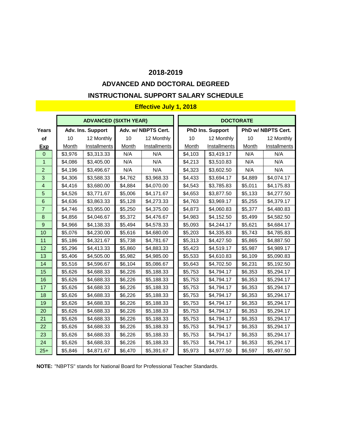### **ADVANCED AND DOCTORAL DEGREED**

### **INSTRUCTIONAL SUPPORT SALARY SCHEDULE**

#### **Effective July 1, 2018**

|                         |              | <b>ADVANCED (SIXTH YEAR)</b> |         |                     |         | <b>DOCTORATE</b>        |              |                    |  |
|-------------------------|--------------|------------------------------|---------|---------------------|---------|-------------------------|--------------|--------------------|--|
| Years                   |              | Adv. Ins. Support            |         | Adv. w/ NBPTS Cert. |         | <b>PhD Ins. Support</b> |              | PhD w/ NBPTS Cert. |  |
| of                      | 10           | 12 Monthly                   | 10      | 12 Monthly          | 10      | 12 Monthly              | 10           | 12 Monthly         |  |
| <u>Exp</u>              | <b>Month</b> | Installments                 | Month   | Installments        | Month   | <b>Installments</b>     | <b>Month</b> | Installments       |  |
| $\overline{0}$          | \$3,976      | \$3,313.33                   | N/A     | N/A                 | \$4,103 | \$3,419.17              | N/A          | N/A                |  |
| $\mathbf{1}$            | \$4,086      | \$3,405.00                   | N/A     | N/A                 | \$4,213 | \$3,510.83              | N/A          | N/A                |  |
| $\overline{2}$          | \$4,196      | \$3,496.67                   | N/A     | N/A                 | \$4,323 | \$3,602.50              | N/A          | N/A                |  |
| $\mathbf{3}$            | \$4,306      | \$3,588.33                   | \$4,762 | \$3,968.33          | \$4,433 | \$3,694.17              | \$4,889      | \$4,074.17         |  |
| $\overline{\mathbf{4}}$ | \$4,416      | \$3,680.00                   | \$4,884 | \$4,070.00          | \$4,543 | \$3,785.83              | \$5,011      | \$4,175.83         |  |
| 5                       | \$4,526      | \$3,771.67                   | \$5,006 | \$4,171.67          | \$4,653 | \$3,877.50              | \$5,133      | \$4,277.50         |  |
| $\,6$                   | \$4,636      | \$3,863.33                   | \$5,128 | \$4,273.33          | \$4,763 | \$3,969.17              | \$5,255      | \$4,379.17         |  |
| $\overline{7}$          | \$4,746      | \$3,955.00                   | \$5,250 | \$4,375.00          | \$4,873 | \$4,060.83              | \$5,377      | \$4,480.83         |  |
| $\bf 8$                 | \$4,856      | \$4,046.67                   | \$5,372 | \$4,476.67          | \$4,983 | \$4,152.50              | \$5,499      | \$4,582.50         |  |
| $\overline{9}$          | \$4,966      | \$4,138.33                   | \$5,494 | \$4,578.33          | \$5,093 | \$4,244.17              | \$5,621      | \$4,684.17         |  |
| 10                      | \$5,076      | \$4,230.00                   | \$5,616 | \$4,680.00          | \$5,203 | \$4,335.83              | \$5,743      | \$4,785.83         |  |
| 11                      | \$5,186      | \$4,321.67                   | \$5,738 | \$4,781.67          | \$5,313 | \$4,427.50              | \$5,865      | \$4,887.50         |  |
| 12                      | \$5,296      | \$4,413.33                   | \$5,860 | \$4,883.33          | \$5,423 | \$4,519.17              | \$5,987      | \$4,989.17         |  |
| 13                      | \$5,406      | \$4,505.00                   | \$5,982 | \$4,985.00          | \$5,533 | \$4,610.83              | \$6,109      | \$5,090.83         |  |
| 14                      | \$5,516      | \$4,596.67                   | \$6,104 | \$5,086.67          | \$5,643 | \$4,702.50              | \$6,231      | \$5,192.50         |  |
| 15                      | \$5,626      | \$4,688.33                   | \$6,226 | \$5,188.33          | \$5,753 | \$4,794.17              | \$6,353      | \$5,294.17         |  |
| 16                      | \$5,626      | \$4,688.33                   | \$6,226 | \$5,188.33          | \$5,753 | \$4,794.17              | \$6,353      | \$5,294.17         |  |
| 17                      | \$5,626      | \$4,688.33                   | \$6,226 | \$5,188.33          | \$5,753 | \$4,794.17              | \$6,353      | \$5,294.17         |  |
| 18                      | \$5,626      | \$4,688.33                   | \$6,226 | \$5,188.33          | \$5,753 | \$4,794.17              | \$6,353      | \$5,294.17         |  |
| 19                      | \$5,626      | \$4,688.33                   | \$6,226 | \$5,188.33          | \$5,753 | \$4,794.17              | \$6,353      | \$5,294.17         |  |
| 20                      | \$5,626      | \$4,688.33                   | \$6,226 | \$5,188.33          | \$5,753 | \$4,794.17              | \$6,353      | \$5,294.17         |  |
| 21                      | \$5,626      | \$4,688.33                   | \$6,226 | \$5,188.33          | \$5,753 | \$4,794.17              | \$6,353      | \$5,294.17         |  |
| 22                      | \$5,626      | \$4,688.33                   | \$6,226 | \$5,188.33          | \$5,753 | \$4,794.17              | \$6,353      | \$5,294.17         |  |
| 23                      | \$5,626      | \$4,688.33                   | \$6,226 | \$5,188.33          | \$5,753 | \$4,794.17              | \$6,353      | \$5,294.17         |  |
| 24                      | \$5,626      | \$4,688.33                   | \$6,226 | \$5,188.33          | \$5,753 | \$4,794.17              | \$6,353      | \$5,294.17         |  |
| $25+$                   | \$5,846      | \$4,871.67                   | \$6,470 | \$5,391.67          | \$5,973 | \$4,977.50              | \$6,597      | \$5,497.50         |  |

**NOTE:** "NBPTS" stands for National Board for Professional Teacher Standards.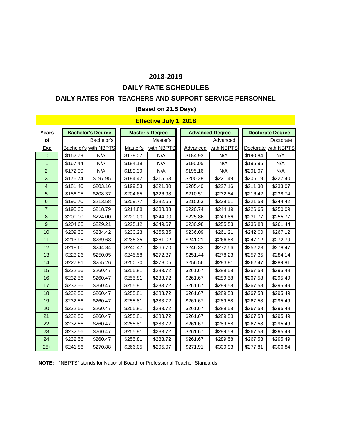## **DAILY RATE SCHEDULES**

#### **DAILY RATES FOR TEACHERS AND SUPPORT SERVICE PERSONNEL**

#### **(Based on 21.5 Days)**

### **Effective July 1, 2018**

| Years          |          | <b>Bachelor's Degree</b>     |          | <b>Master's Degree</b> |          | <b>Advanced Degree</b> |          | <b>Doctorate Degree</b> |
|----------------|----------|------------------------------|----------|------------------------|----------|------------------------|----------|-------------------------|
| of             |          | Bachelor's                   |          | Master's               |          | Advanced               |          | Doctorate               |
| <b>Exp</b>     |          | <b>Bachelor's with NBPTS</b> | Master's | with NBPTS             | Advanced | with NBPTS             |          | Doctorate with NBPTS    |
| $\Omega$       | \$162.79 | N/A                          | \$179.07 | N/A                    | \$184.93 | N/A                    | \$190.84 | N/A                     |
| $\mathbf{1}$   | \$167.44 | N/A                          | \$184.19 | N/A                    | \$190.05 | N/A                    | \$195.95 | N/A                     |
| $\overline{2}$ | \$172.09 | N/A                          | \$189.30 | N/A                    | \$195.16 | N/A                    | \$201.07 | N/A                     |
| 3              | \$176.74 | \$197.95                     | \$194.42 | \$215.63               | \$200.28 | \$221.49               | \$206.19 | \$227.40                |
| $\overline{4}$ | \$181.40 | \$203.16                     | \$199.53 | \$221.30               | \$205.40 | \$227.16               | \$211.30 | \$233.07                |
| 5              | \$186.05 | \$208.37                     | \$204.65 | \$226.98               | \$210.51 | \$232.84               | \$216.42 | \$238.74                |
| 6              | \$190.70 | \$213.58                     | \$209.77 | \$232.65               | \$215.63 | \$238.51               | \$221.53 | \$244.42                |
| $\overline{7}$ | \$195.35 | \$218.79                     | \$214.88 | \$238.33               | \$220.74 | \$244.19               | \$226.65 | \$250.09                |
| 8              | \$200.00 | \$224.00                     | \$220.00 | \$244.00               | \$225.86 | \$249.86               | \$231.77 | \$255.77                |
| $\overline{9}$ | \$204.65 | \$229.21                     | \$225.12 | \$249.67               | \$230.98 | \$255.53               | \$236.88 | \$261.44                |
| 10             | \$209.30 | \$234.42                     | \$230.23 | \$255.35               | \$236.09 | \$261.21               | \$242.00 | \$267.12                |
| 11             | \$213.95 | \$239.63                     | \$235.35 | \$261.02               | \$241.21 | \$266.88               | \$247.12 | \$272.79                |
| 12             | \$218.60 | \$244.84                     | \$240.47 | \$266.70               | \$246.33 | \$272.56               | \$252.23 | \$278.47                |
| 13             | \$223.26 | \$250.05                     | \$245.58 | \$272.37               | \$251.44 | \$278.23               | \$257.35 | \$284.14                |
| 14             | \$227.91 | \$255.26                     | \$250.70 | \$278.05               | \$256.56 | \$283.91               | \$262.47 | \$289.81                |
| 15             | \$232.56 | \$260.47                     | \$255.81 | \$283.72               | \$261.67 | \$289.58               | \$267.58 | \$295.49                |
| 16             | \$232.56 | \$260.47                     | \$255.81 | \$283.72               | \$261.67 | \$289.58               | \$267.58 | \$295.49                |
| 17             | \$232.56 | \$260.47                     | \$255.81 | \$283.72               | \$261.67 | \$289.58               | \$267.58 | \$295.49                |
| 18             | \$232.56 | \$260.47                     | \$255.81 | \$283.72               | \$261.67 | \$289.58               | \$267.58 | \$295.49                |
| 19             | \$232.56 | \$260.47                     | \$255.81 | \$283.72               | \$261.67 | \$289.58               | \$267.58 | \$295.49                |
| 20             | \$232.56 | \$260.47                     | \$255.81 | \$283.72               | \$261.67 | \$289.58               | \$267.58 | \$295.49                |
| 21             | \$232.56 | \$260.47                     | \$255.81 | \$283.72               | \$261.67 | \$289.58               | \$267.58 | \$295.49                |
| 22             | \$232.56 | \$260.47                     | \$255.81 | \$283.72               | \$261.67 | \$289.58               | \$267.58 | \$295.49                |
| 23             | \$232.56 | \$260.47                     | \$255.81 | \$283.72               | \$261.67 | \$289.58               | \$267.58 | \$295.49                |
| 24             | \$232.56 | \$260.47                     | \$255.81 | \$283.72               | \$261.67 | \$289.58               | \$267.58 | \$295.49                |
| $25+$          | \$241.86 | \$270.88                     | \$266.05 | \$295.07               | \$271.91 | \$300.93               | \$277.81 | \$306.84                |

**NOTE:** "NBPTS" stands for National Board for Professional Teacher Standards.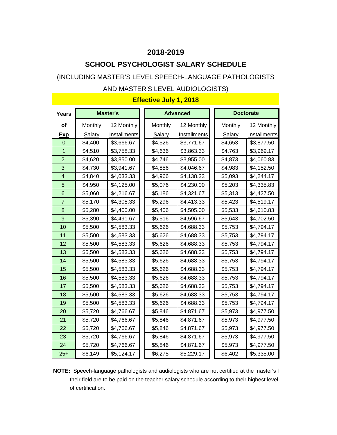## **SCHOOL PSYCHOLOGIST SALARY SCHEDULE**

## (INCLUDING MASTER'S LEVEL SPEECH-LANGUAGE PATHOLOGISTS

#### AND MASTER'S LEVEL AUDIOLOGISTS)

| <b>Years</b>   |         | <b>Master's</b> |         | <b>Advanced</b> |               | <b>Doctorate</b>    |
|----------------|---------|-----------------|---------|-----------------|---------------|---------------------|
| of             | Monthly | 12 Monthly      | Monthly | 12 Monthly      | Monthly       | 12 Monthly          |
| <u>Exp</u>     | Salary  | Installments    | Salary  | Installments    | <b>Salary</b> | <b>Installments</b> |
| $\overline{0}$ | \$4,400 | \$3,666.67      | \$4,526 | \$3,771.67      | \$4,653       | \$3,877.50          |
| 1              | \$4,510 | \$3,758.33      | \$4,636 | \$3,863.33      | \$4,763       | \$3,969.17          |
| $\overline{2}$ | \$4,620 | \$3,850.00      | \$4,746 | \$3,955.00      | \$4,873       | \$4,060.83          |
| 3              | \$4,730 | \$3,941.67      | \$4,856 | \$4,046.67      | \$4,983       | \$4,152.50          |
| 4              | \$4,840 | \$4,033.33      | \$4,966 | \$4,138.33      | \$5,093       | \$4,244.17          |
| 5              | \$4,950 | \$4,125.00      | \$5,076 | \$4,230.00      | \$5,203       | \$4,335.83          |
| 6              | \$5,060 | \$4,216.67      | \$5,186 | \$4,321.67      | \$5,313       | \$4,427.50          |
| $\overline{7}$ | \$5,170 | \$4,308.33      | \$5,296 | \$4,413.33      | \$5,423       | \$4,519.17          |
| 8              | \$5,280 | \$4,400.00      | \$5,406 | \$4,505.00      | \$5,533       | \$4,610.83          |
| 9              | \$5,390 | \$4,491.67      | \$5,516 | \$4,596.67      | \$5,643       | \$4,702.50          |
| 10             | \$5,500 | \$4,583.33      | \$5,626 | \$4,688.33      | \$5,753       | \$4,794.17          |
| 11             | \$5,500 | \$4,583.33      | \$5,626 | \$4,688.33      | \$5,753       | \$4,794.17          |
| 12             | \$5,500 | \$4,583.33      | \$5,626 | \$4,688.33      | \$5,753       | \$4,794.17          |
| 13             | \$5,500 | \$4,583.33      | \$5,626 | \$4,688.33      | \$5,753       | \$4,794.17          |
| 14             | \$5,500 | \$4,583.33      | \$5,626 | \$4,688.33      | \$5,753       | \$4,794.17          |
| 15             | \$5,500 | \$4,583.33      | \$5,626 | \$4,688.33      | \$5,753       | \$4,794.17          |
| 16             | \$5,500 | \$4,583.33      | \$5,626 | \$4,688.33      | \$5,753       | \$4,794.17          |
| 17             | \$5,500 | \$4,583.33      | \$5,626 | \$4,688.33      | \$5,753       | \$4,794.17          |
| 18             | \$5,500 | \$4,583.33      | \$5,626 | \$4,688.33      | \$5,753       | \$4,794.17          |
| 19             | \$5,500 | \$4,583.33      | \$5,626 | \$4,688.33      | \$5,753       | \$4,794.17          |
| 20             | \$5,720 | \$4,766.67      | \$5,846 | \$4,871.67      | \$5,973       | \$4,977.50          |
| 21             | \$5,720 | \$4,766.67      | \$5,846 | \$4,871.67      | \$5,973       | \$4,977.50          |
| 22             | \$5,720 | \$4,766.67      | \$5,846 | \$4,871.67      | \$5,973       | \$4,977.50          |
| 23             | \$5,720 | \$4,766.67      | \$5,846 | \$4,871.67      | \$5,973       | \$4,977.50          |
| 24             | \$5,720 | \$4,766.67      | \$5,846 | \$4,871.67      | \$5,973       | \$4,977.50          |
| $25+$          | \$6,149 | \$5,124.17      | \$6,275 | \$5,229.17      | \$6,402       | \$5,335.00          |

**NOTE:** Speech-language pathologists and audiologists who are not certified at the master's let their field are to be paid on the teacher salary schedule according to their highest level of certification.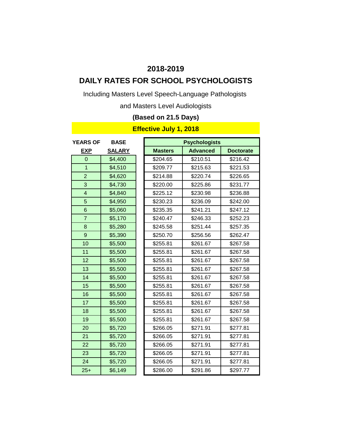# **DAILY RATES FOR SCHOOL PSYCHOLOGISTS**

Including Masters Level Speech-Language Pathologists

and Masters Level Audiologists

## **(Based on 21.5 Days)**

| <b>YEARS OF</b> | <b>BASE</b>   |                | <b>Psychologists</b> |                  |
|-----------------|---------------|----------------|----------------------|------------------|
| <b>EXP</b>      | <b>SALARY</b> | <b>Masters</b> | <b>Advanced</b>      | <b>Doctorate</b> |
| $\overline{0}$  | \$4,400       | \$204.65       | \$210.51             | \$216.42         |
| $\overline{1}$  | \$4,510       | \$209.77       | \$215.63             | \$221.53         |
| $\overline{2}$  | \$4,620       | \$214.88       | \$220.74             | \$226.65         |
| 3               | \$4,730       | \$220.00       | \$225.86             | \$231.77         |
| $\overline{4}$  | \$4,840       | \$225.12       | \$230.98             | \$236.88         |
| 5               | \$4,950       | \$230.23       | \$236.09             | \$242.00         |
| $6\phantom{1}$  | \$5,060       | \$235.35       | \$241.21             | \$247.12         |
| $\overline{7}$  | \$5,170       | \$240.47       | \$246.33             | \$252.23         |
| 8               | \$5,280       | \$245.58       | \$251.44             | \$257.35         |
| 9               | \$5,390       | \$250.70       | \$256.56             | \$262.47         |
| 10              | \$5,500       | \$255.81       | \$261.67             | \$267.58         |
| 11              | \$5,500       | \$255.81       | \$261.67             | \$267.58         |
| 12              | \$5,500       | \$255.81       | \$261.67             | \$267.58         |
| 13              | \$5,500       | \$255.81       | \$261.67             | \$267.58         |
| 14              | \$5,500       | \$255.81       | \$261.67             | \$267.58         |
| 15              | \$5,500       | \$255.81       | \$261.67             | \$267.58         |
| 16              | \$5,500       | \$255.81       | \$261.67             | \$267.58         |
| 17              | \$5,500       | \$255.81       | \$261.67             | \$267.58         |
| 18              | \$5,500       | \$255.81       | \$261.67             | \$267.58         |
| 19              | \$5,500       | \$255.81       | \$261.67             | \$267.58         |
| 20              | \$5,720       | \$266.05       | \$271.91             | \$277.81         |
| 21              | \$5,720       | \$266.05       | \$271.91             | \$277.81         |
| 22              | \$5,720       | \$266.05       | \$271.91             | \$277.81         |
| 23              | \$5,720       | \$266.05       | \$271.91             | \$277.81         |
| 24              | \$5,720       | \$266.05       | \$271.91             | \$277.81         |
| $25+$           | \$6,149       | \$286.00       | \$291.86             | \$297.77         |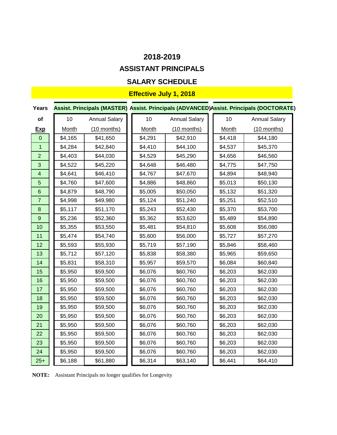# **ASSISTANT PRINCIPALS**

## **SALARY SCHEDULE**

## **Effective July 1, 2018**

| <b>Years</b>            |              |                      |              |                      |              | Assist. Principals (MASTER) Assist. Principals (ADVANCED)Assist. Principals (DOCTORATE) |
|-------------------------|--------------|----------------------|--------------|----------------------|--------------|-----------------------------------------------------------------------------------------|
| of                      | 10           | <b>Annual Salary</b> | 10           | <b>Annual Salary</b> | 10           | <b>Annual Salary</b>                                                                    |
| <b>Exp</b>              | <b>Month</b> | $(10$ months)        | <b>Month</b> | $(10$ months)        | <b>Month</b> | $(10$ months)                                                                           |
| $\overline{0}$          | \$4,165      | \$41,650             | \$4,291      | \$42,910             | \$4,418      | \$44,180                                                                                |
| $\mathbf{1}$            | \$4,284      | \$42,840             | \$4,410      | \$44,100             | \$4,537      | \$45,370                                                                                |
| $\overline{2}$          | \$4,403      | \$44,030             | \$4,529      | \$45,290             | \$4,656      | \$46,560                                                                                |
| 3                       | \$4,522      | \$45,220             | \$4,648      | \$46,480             | \$4,775      | \$47,750                                                                                |
| $\overline{\mathbf{4}}$ | \$4,641      | \$46,410             | \$4,767      | \$47,670             | \$4,894      | \$48,940                                                                                |
| 5                       | \$4,760      | \$47,600             | \$4,886      | \$48,860             | \$5,013      | \$50,130                                                                                |
| $6\phantom{a}$          | \$4,879      | \$48,790             | \$5,005      | \$50,050             | \$5,132      | \$51,320                                                                                |
| $\overline{7}$          | \$4,998      | \$49,980             | \$5,124      | \$51,240             | \$5,251      | \$52,510                                                                                |
| 8                       | \$5,117      | \$51,170             | \$5,243      | \$52,430             | \$5,370      | \$53,700                                                                                |
| $\overline{9}$          | \$5,236      | \$52,360             | \$5,362      | \$53,620             | \$5,489      | \$54,890                                                                                |
| 10                      | \$5,355      | \$53,550             | \$5,481      | \$54,810             | \$5,608      | \$56,080                                                                                |
| 11                      | \$5,474      | \$54,740             | \$5,600      | \$56,000             | \$5,727      | \$57,270                                                                                |
| 12                      | \$5,593      | \$55,930             | \$5,719      | \$57,190             | \$5,846      | \$58,460                                                                                |
| 13                      | \$5,712      | \$57,120             | \$5,838      | \$58,380             | \$5,965      | \$59,650                                                                                |
| 14                      | \$5,831      | \$58,310             | \$5,957      | \$59,570             | \$6,084      | \$60,840                                                                                |
| 15                      | \$5,950      | \$59,500             | \$6,076      | \$60,760             | \$6,203      | \$62,030                                                                                |
| 16                      | \$5,950      | \$59,500             | \$6,076      | \$60,760             | \$6,203      | \$62,030                                                                                |
| 17                      | \$5,950      | \$59,500             | \$6,076      | \$60,760             | \$6,203      | \$62,030                                                                                |
| 18                      | \$5,950      | \$59,500             | \$6,076      | \$60,760             | \$6,203      | \$62,030                                                                                |
| 19                      | \$5,950      | \$59,500             | \$6,076      | \$60,760             | \$6,203      | \$62,030                                                                                |
| 20                      | \$5,950      | \$59,500             | \$6,076      | \$60,760             | \$6,203      | \$62,030                                                                                |
| 21                      | \$5,950      | \$59,500             | \$6,076      | \$60,760             | \$6,203      | \$62,030                                                                                |
| 22                      | \$5,950      | \$59,500             | \$6,076      | \$60,760             | \$6,203      | \$62,030                                                                                |
| 23                      | \$5,950      | \$59,500             | \$6,076      | \$60,760             | \$6,203      | \$62,030                                                                                |
| 24                      | \$5,950      | \$59,500             | \$6,076      | \$60,760             | \$6,203      | \$62,030                                                                                |
| $25+$                   | \$6,188      | \$61,880             | \$6,314      | \$63,140             | \$6,441      | \$64,410                                                                                |

**NOTE:** Assistant Principals no longer qualifies for Longevity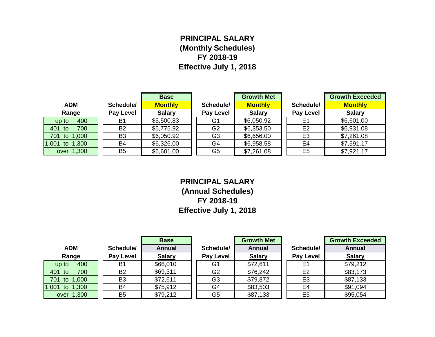## **PRINCIPAL SALARY (Monthly Schedules) FY 2018-19 Effective July 1, 2018**

|                   |                | <b>Base</b>    |                  | <b>Growth Met</b> |                  | <b>Growth Exceeded</b> |
|-------------------|----------------|----------------|------------------|-------------------|------------------|------------------------|
| <b>ADM</b>        | Schedule/      | <b>Monthly</b> | Schedule/        | <b>Monthly</b>    | Schedule/        | <b>Monthly</b>         |
| Range             | Pay Level      | <b>Salary</b>  | <b>Pay Level</b> | <b>Salary</b>     | <b>Pay Level</b> | <b>Salary</b>          |
| 400<br>up to      | B <sub>1</sub> | \$5,500.83     | G <sub>1</sub>   | \$6,050.92        | E <sub>1</sub>   | \$6,601.00             |
| 700<br>401<br>to  | <b>B2</b>      | \$5,775.92     | G <sub>2</sub>   | \$6,353.50        | E <sub>2</sub>   | \$6,931.08             |
| to 1,000<br>701   | B <sub>3</sub> | \$6,050.92     | G <sub>3</sub>   | \$6,656.00        | E <sub>3</sub>   | \$7,261.08             |
| to 1,300<br>1,001 | B <sub>4</sub> | \$6,326.00     | G4               | \$6,958.58        | E <sub>4</sub>   | \$7,591.17             |
| over 1,300        | B <sub>5</sub> | \$6,601.00     | G <sub>5</sub>   | \$7,261.08        | E <sub>5</sub>   | \$7,921.17             |

**PRINCIPAL SALARY (Annual Schedules) FY 2018-19 Effective July 1, 2018**

|                   |                | <b>Base</b>   |                  | <b>Growth Met</b> |                | <b>Growth Exceeded</b> |
|-------------------|----------------|---------------|------------------|-------------------|----------------|------------------------|
| <b>ADM</b>        | Schedule/      | <b>Annual</b> | Schedule/        | <b>Annual</b>     | Schedule/      | <b>Annual</b>          |
| Range             | Pay Level      | <b>Salary</b> | <b>Pay Level</b> | <b>Salary</b>     | Pay Level      | <b>Salary</b>          |
| 400<br>up to      | B <sub>1</sub> | \$66,010      | G1               | \$72,611          | Ε1             | \$79,212               |
| 401<br>700<br>to  | <b>B2</b>      | \$69,311      | G <sub>2</sub>   | \$76,242          | E <sub>2</sub> | \$83,173               |
| to 1,000<br>701   | B <sub>3</sub> | \$72,611      | G <sub>3</sub>   | \$79,872          | E <sub>3</sub> | \$87,133               |
| 1,001<br>to 1,300 | <b>B4</b>      | \$75,912      | G4               | \$83,503          | E4             | \$91,094               |
| over 1,300        | B <sub>5</sub> | \$79,212      | G <sub>5</sub>   | \$87,133          | E <sub>5</sub> | \$95,054               |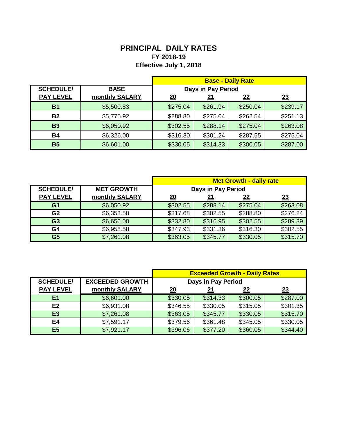## **PRINCIPAL DAILY RATES FY 2018-19 Effective July 1, 2018**

|                  |                |                    |            | <b>Base - Daily Rate</b> |          |
|------------------|----------------|--------------------|------------|--------------------------|----------|
| <b>SCHEDULE/</b> | <b>BASE</b>    | Days in Pay Period |            |                          |          |
| <b>PAY LEVEL</b> | monthly SALARY | 20                 | <u> 21</u> | <u>22</u>                | 23       |
| <b>B1</b>        | \$5,500.83     | \$275.04           | \$261.94   | \$250.04                 | \$239.17 |
| <b>B2</b>        | \$5,775.92     | \$288.80           | \$275.04   | \$262.54                 | \$251.13 |
| <b>B3</b>        | \$6,050.92     | \$302.55           | \$288.14   | \$275.04                 | \$263.08 |
| <b>B4</b>        | \$6,326.00     | \$316.30           | \$301.24   | \$287.55                 | \$275.04 |
| <b>B5</b>        | \$6,601.00     | \$330.05           | \$314.33   | \$300.05                 | \$287.00 |

|                  |                   | <b>Met Growth - daily rate</b> |          |          |          |
|------------------|-------------------|--------------------------------|----------|----------|----------|
| <b>SCHEDULE/</b> | <b>MET GROWTH</b> | Days in Pay Period             |          |          |          |
| <b>PAY LEVEL</b> | monthly SALARY    | 20                             | 21       | 22       | 23       |
| G <sub>1</sub>   | \$6,050.92        | \$302.55                       | \$288.14 | \$275.04 | \$263.08 |
| G <sub>2</sub>   | \$6,353.50        | \$317.68                       | \$302.55 | \$288.80 | \$276.24 |
| G <sub>3</sub>   | \$6,656.00        | \$332.80                       | \$316.95 | \$302.55 | \$289.39 |
| G <sub>4</sub>   | \$6,958.58        | \$347.93                       | \$331.36 | \$316.30 | \$302.55 |
| G <sub>5</sub>   | \$7,261.08        | \$363.05                       | \$345.77 | \$330.05 | \$315.70 |

|                  |                        | <b>Exceeded Growth - Daily Rates</b> |                    |           |           |
|------------------|------------------------|--------------------------------------|--------------------|-----------|-----------|
| <b>SCHEDULE/</b> | <b>EXCEEDED GROWTH</b> |                                      | Days in Pay Period |           |           |
| <b>PAY LEVEL</b> | monthly SALARY         | <u>20</u>                            |                    | <u>22</u> | <u>23</u> |
| E <sub>1</sub>   | \$6,601.00             | \$330.05                             | \$314.33           | \$300.05  | \$287.00  |
| E <sub>2</sub>   | \$6,931.08             | \$346.55                             | \$330.05           | \$315.05  | \$301.35  |
| E <sub>3</sub>   | \$7,261.08             | \$363.05                             | \$345.77           | \$330.05  | \$315.70  |
| E4               | \$7,591.17             | \$379.56                             | \$361.48           | \$345.05  | \$330.05  |
| E <sub>5</sub>   | \$7,921.17             | \$396.06                             | \$377.20           | \$360.05  | \$344.40  |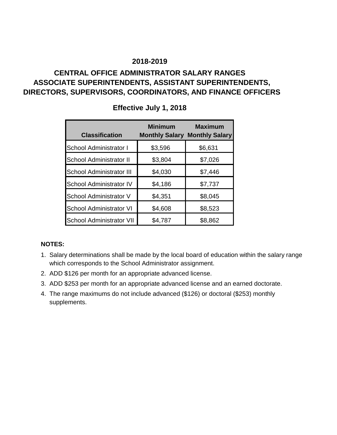## **CENTRAL OFFICE ADMINISTRATOR SALARY RANGES ASSOCIATE SUPERINTENDENTS, ASSISTANT SUPERINTENDENTS, DIRECTORS, SUPERVISORS, COORDINATORS, AND FINANCE OFFICERS**

| <b>Classification</b>           | <b>Minimum</b> | <b>Maximum</b><br><b>Monthly Salary Monthly Salary</b> |
|---------------------------------|----------------|--------------------------------------------------------|
| School Administrator I          | \$3,596        | \$6,631                                                |
| <b>School Administrator II</b>  | \$3,804        | \$7,026                                                |
| <b>School Administrator III</b> | \$4,030        | \$7,446                                                |
| <b>School Administrator IV</b>  | \$4,186        | \$7,737                                                |
| School Administrator V          | \$4,351        | \$8,045                                                |
| <b>School Administrator VI</b>  | \$4,608        | \$8,523                                                |
| <b>School Administrator VII</b> | \$4,787        | \$8,862                                                |

## **Effective July 1, 2018**

#### **NOTES:**

- 1. Salary determinations shall be made by the local board of education within the salary range which corresponds to the School Administrator assignment.
- 2. ADD \$126 per month for an appropriate advanced license.
- 3. ADD \$253 per month for an appropriate advanced license and an earned doctorate.
- 4. The range maximums do not include advanced (\$126) or doctoral (\$253) monthly supplements.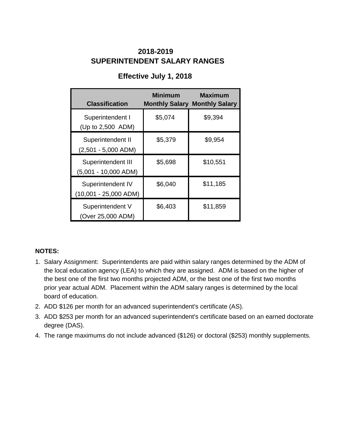## **SUPERINTENDENT SALARY RANGES 2018-2019**

## **Effective July 1, 2018**

| <b>Classification</b>                      | <b>Minimum</b> | <b>Maximum</b><br><b>Monthly Salary Monthly Salary</b> |
|--------------------------------------------|----------------|--------------------------------------------------------|
| Superintendent I<br>(Up to 2,500 ADM)      | \$5,074        | \$9,394                                                |
| Superintendent II<br>$(2,501 - 5,000$ ADM) | \$5,379        | \$9,954                                                |
| Superintendent III<br>(5,001 - 10,000 ADM) | \$5,698        | \$10,551                                               |
| Superintendent IV<br>(10,001 - 25,000 ADM) | \$6,040        | \$11,185                                               |
| Superintendent V<br>(Over 25,000 ADM)      | \$6,403        | \$11,859                                               |

#### **NOTES:**

- 1. Salary Assignment: Superintendents are paid within salary ranges determined by the ADM of the local education agency (LEA) to which they are assigned. ADM is based on the higher of the best one of the first two months projected ADM, or the best one of the first two months prior year actual ADM. Placement within the ADM salary ranges is determined by the local board of education.
- 2. ADD \$126 per month for an advanced superintendent's certificate (AS).
- 3. ADD \$253 per month for an advanced superintendent's certificate based on an earned doctorate degree (DAS).
- 4. The range maximums do not include advanced (\$126) or doctoral (\$253) monthly supplements.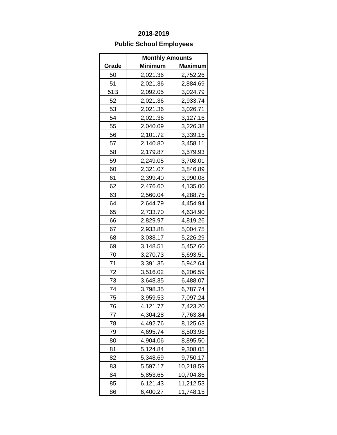## **Public School Employees**

|              | <b>Monthly Amounts</b> |                |
|--------------|------------------------|----------------|
| <u>Grade</u> | <u>Minimum</u>         | <u>Maximum</u> |
| 50           | 2,021.36               | 2,752.26       |
| 51           | 2,021.36               | 2,884.69       |
| 51B          | 2,092.05               | 3,024.79       |
| 52           | 2,021.36               | 2,933.74       |
| 53           | 2,021.36               | 3,026.71       |
| 54           | 2,021.36               | 3,127.16       |
| 55           | 2,040.09               | 3,226.38       |
| 56           | 2,101.72               | 3,339.15       |
| 57           | 2,140.80               | 3,458.11       |
| 58           | 2,179.87               | 3,579.93       |
| 59           | 2,249.05               | 3,708.01       |
| 60           | 2,321.07               | 3,846.89       |
| 61           | 2,399.40               | 3,990.08       |
| 62           | 2,476.60               | 4,135.00       |
| 63           | 2,560.04               | 4,288.75       |
| 64           | 2,644.79               | 4,454.94       |
| 65           | 2,733.70               | 4,634.90       |
| 66           | 2,829.97               | 4,819.26       |
| 67           | 2,933.88               | 5,004.75       |
| 68           | 3,038.17               | 5,226.29       |
| 69           | 3,148.51               | 5,452.60       |
| 70           | 3,270.73               | 5,693.51       |
| 71           | 3,391.35               | 5,942.64       |
| 72           | 3,516.02               | 6,206.59       |
| 73           | 3,648.35               | 6,488.07       |
| 74           | 3,798.35               | 6,787.74       |
| 75           | 3,959.53               | 7,097.24       |
| 76           | 4,121.77               | 7,423.20       |
| 77           | 4,304.28               | 7,763.84       |
| 78           | 4,492.76               | 8,125.63       |
| 79           | 4,695.74               | 8,503.98       |
| 80           | 4,904.06               | 8,895.50       |
| 81           | 5,124.84               | 9,308.05       |
| 82           | 5,348.69               | 9,750.17       |
| 83           | 5,597.17               | 10,218.59      |
| 84           | 5,853.65               | 10,704.86      |
| 85           | 6,121.43               | 11,212.53      |
| 86           | 6,400.27               | 11,748.15      |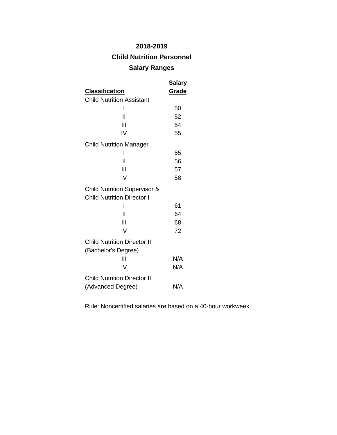## **Child Nutrition Personnel**

### **Salary Ranges**

|                                                                              | Salary |
|------------------------------------------------------------------------------|--------|
| <u>Classification</u>                                                        | Grade  |
| <b>Child Nutrition Assistant</b>                                             |        |
| I                                                                            | 50     |
| Н                                                                            | 52     |
| Ш                                                                            | 54     |
| IV                                                                           | 55     |
| <b>Child Nutrition Manager</b>                                               |        |
| ı                                                                            | 55     |
| Ш                                                                            | 56     |
| Ш                                                                            | 57     |
| IV                                                                           | 58     |
| <b>Child Nutrition Supervisor &amp;</b><br><b>Child Nutrition Director I</b> |        |
| ı                                                                            | 61     |
| Ш                                                                            | 64     |
| Ш                                                                            | 68     |
| IV                                                                           | 72     |
| <b>Child Nutrition Director II</b><br>(Bachelor's Degree)                    |        |
| Ш                                                                            | N/A    |
| IV                                                                           | N/A    |
| <b>Child Nutrition Director II</b>                                           |        |
| (Advanced Degree)                                                            | N/A    |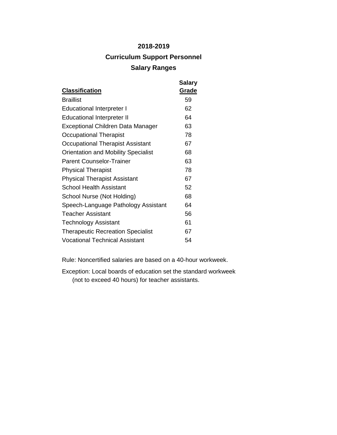# **2018-2019 Curriculum Support Personnel Salary Ranges**

| <b>Classification</b>                      | <b>Salary</b><br>Grade |
|--------------------------------------------|------------------------|
| <b>Braillist</b>                           | 59                     |
| <b>Educational Interpreter I</b>           | 62                     |
| <b>Educational Interpreter II</b>          | 64                     |
| Exceptional Children Data Manager          | 63                     |
| Occupational Therapist                     | 78                     |
| Occupational Therapist Assistant           | 67                     |
| <b>Orientation and Mobility Specialist</b> | 68                     |
| <b>Parent Counselor-Trainer</b>            | 63                     |
| <b>Physical Therapist</b>                  | 78                     |
| <b>Physical Therapist Assistant</b>        | 67                     |
| <b>School Health Assistant</b>             | 52                     |
| School Nurse (Not Holding)                 | 68                     |
| Speech-Language Pathology Assistant        | 64                     |
| <b>Teacher Assistant</b>                   | 56                     |
| Technology Assistant                       | 61                     |
| <b>Therapeutic Recreation Specialist</b>   | 67                     |
| <b>Vocational Technical Assistant</b>      | 54                     |

Rule: Noncertified salaries are based on a 40-hour workweek.

Exception: Local boards of education set the standard workweek (not to exceed 40 hours) for teacher assistants.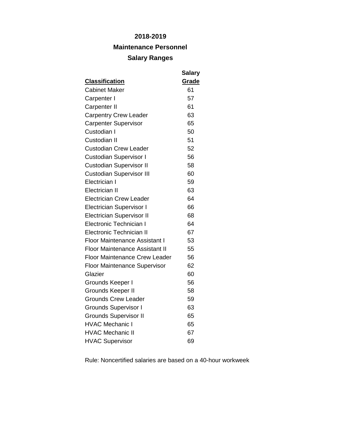## **Maintenance Personnel**

#### **Salary Ranges**

| <b>Classification</b>                            | <b>Salary</b><br>Grade |
|--------------------------------------------------|------------------------|
| <b>Cabinet Maker</b>                             | 61                     |
| Carpenter I                                      | 57                     |
| Carpenter II                                     | 61                     |
| <b>Carpentry Crew Leader</b>                     | 63                     |
| <b>Carpenter Supervisor</b>                      | 65                     |
| Custodian I                                      | 50                     |
| Custodian II                                     | 51                     |
| <b>Custodian Crew Leader</b>                     | 52                     |
|                                                  | 56                     |
| <b>Custodian Supervisor I</b>                    | 58                     |
| <b>Custodian Supervisor II</b>                   | 60                     |
| <b>Custodian Supervisor III</b><br>Electrician I | 59                     |
| <b>Electrician II</b>                            |                        |
|                                                  | 63                     |
| <b>Electrician Crew Leader</b>                   | 64                     |
| <b>Electrician Supervisor I</b>                  | 66                     |
| <b>Electrician Supervisor II</b>                 | 68                     |
| <b>Electronic Technician I</b>                   | 64                     |
| <b>Electronic Technician II</b>                  | 67                     |
| <b>Floor Maintenance Assistant I</b>             | 53                     |
| <b>Floor Maintenance Assistant II</b>            | 55                     |
| <b>Floor Maintenance Crew Leader</b>             | 56                     |
| <b>Floor Maintenance Supervisor</b>              | 62                     |
| Glazier                                          | 60                     |
| Grounds Keeper I                                 | 56                     |
| Grounds Keeper II                                | 58                     |
| <b>Grounds Crew Leader</b>                       | 59                     |
| <b>Grounds Supervisor I</b>                      | 63                     |
| <b>Grounds Supervisor II</b>                     | 65                     |
| <b>HVAC Mechanic I</b>                           | 65                     |
| <b>HVAC Mechanic II</b>                          | 67                     |
| <b>HVAC Supervisor</b>                           | 69                     |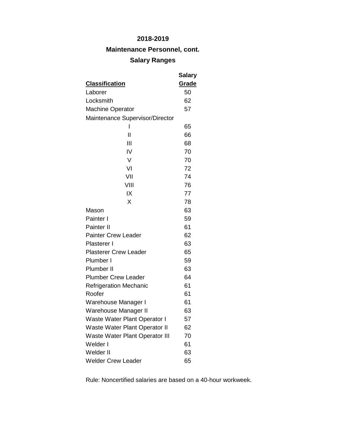**Maintenance Personnel, cont.**

# **Salary Ranges**

|                                       | Salary |
|---------------------------------------|--------|
| <b>Classification</b>                 | Grade  |
| Laborer                               | 50     |
| Locksmith                             | 62     |
| <b>Machine Operator</b>               | 57     |
| Maintenance Supervisor/Director       |        |
| ı                                     | 65     |
| $\mathsf{I}$                          | 66     |
| Ш                                     | 68     |
| IV                                    | 70     |
| V                                     | 70     |
| VI                                    | 72     |
| VII                                   | 74     |
| VIII                                  | 76     |
| IX                                    | 77     |
| X                                     | 78     |
| Mason                                 | 63     |
| Painter I                             | 59     |
| Painter II                            | 61     |
| <b>Painter Crew Leader</b>            | 62     |
| Plasterer I                           | 63     |
| <b>Plasterer Crew Leader</b>          | 65     |
| Plumber I                             | 59     |
| Plumber II                            | 63     |
| <b>Plumber Crew Leader</b>            | 64     |
| <b>Refrigeration Mechanic</b>         | 61     |
| Roofer                                | 61     |
| Warehouse Manager I                   | 61     |
| Warehouse Manager II                  | 63     |
| Waste Water Plant Operator I          | 57     |
| Waste Water Plant Operator II         | 62     |
| <b>Waste Water Plant Operator III</b> | 70     |
| Welder I                              | 61     |
| Welder II                             | 63     |
| <b>Welder Crew Leader</b>             | 65     |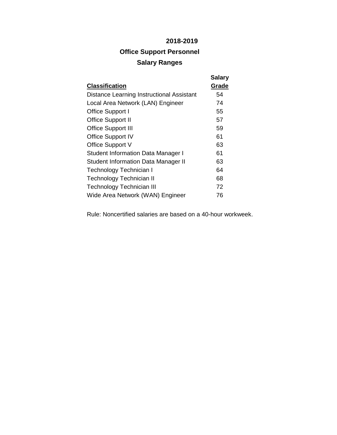# **Office Support Personnel Salary Ranges**

|                                            | <b>Salary</b> |
|--------------------------------------------|---------------|
| <b>Classification</b>                      | Grade         |
| Distance Learning Instructional Assistant  | 54            |
| Local Area Network (LAN) Engineer          | 74            |
| Office Support I                           | 55            |
| <b>Office Support II</b>                   | 57            |
| <b>Office Support III</b>                  | 59            |
| <b>Office Support IV</b>                   | 61            |
| Office Support V                           | 63            |
| <b>Student Information Data Manager I</b>  | 61            |
| <b>Student Information Data Manager II</b> | 63            |
| Technology Technician I                    | 64            |
| Technology Technician II                   | 68            |
| Technology Technician III                  | 72            |
| Wide Area Network (WAN) Engineer           | 76            |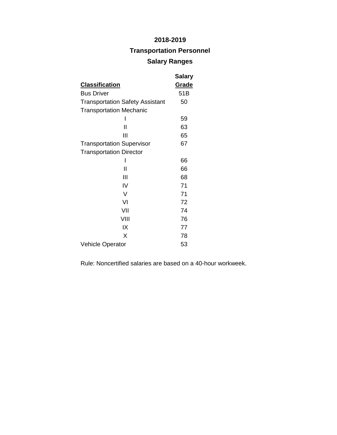## **Transportation Personnel**

## **Salary Ranges**

|                                        | <b>Salary</b> |
|----------------------------------------|---------------|
| <u>Classification</u>                  | <u>Grade</u>  |
| <b>Bus Driver</b>                      | 51B           |
| <b>Transportation Safety Assistant</b> | 50            |
| <b>Transportation Mechanic</b>         |               |
|                                        | 59            |
| Н                                      | 63            |
| Ш                                      | 65            |
| <b>Transportation Supervisor</b>       | 67            |
| <b>Transportation Director</b>         |               |
|                                        | 66            |
| Ш                                      | 66            |
| Ш                                      | 68            |
| IV                                     | 71            |
| V                                      | 71            |
| VI                                     | 72            |
| VII                                    | 74            |
| VIII                                   | 76            |
| IX                                     | 77            |
| X                                      | 78            |
| <b>Vehicle Operator</b>                | 53            |